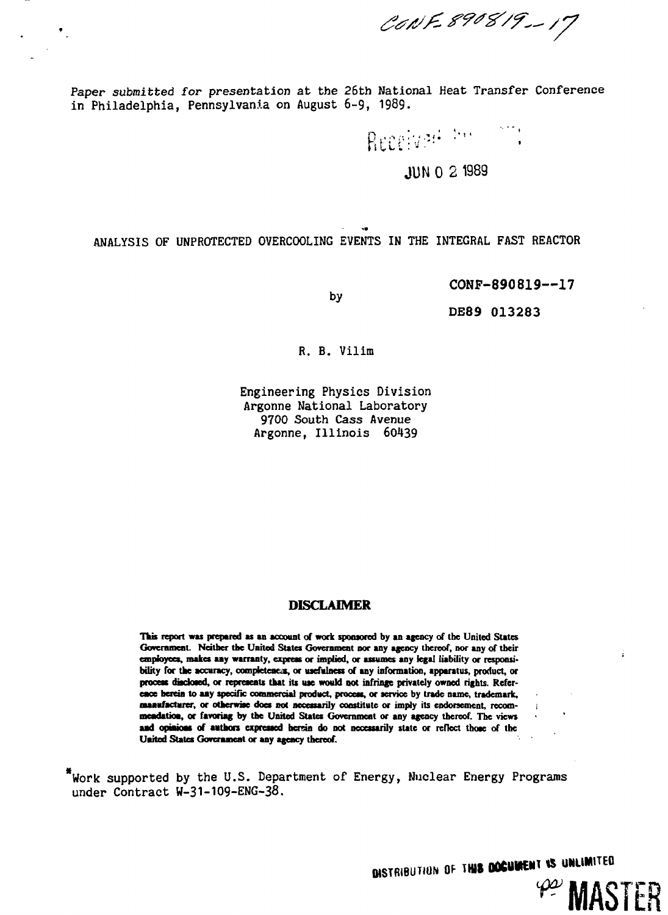CONF 890819-17

Paper submitted for presentation at the 26th National Heat Transfer Conference in Philadelphia, Pennsylvania on August 6-9, 1989.

Receivers the comp

# **JUN 0 2 1989**

ANALYSIS OF UNPROTECTED OVERCOOLING EVENTS IN THE INTEGRAL FAST REACTOR

by

*••m*

**CONP-890819—17**

DE89 013283

R. B. Vilim

Engineering Physics Division Argonne National Laboratory 9700 South Cass Avenue Argonne, Illinois 60439

## **DISCLAIMER**

**This report was prepared as an account of work sponsored by an agency of the United States** Government. Neither the United States Government nor any agency thereof, nor any of their **employees, makes aay warranty, express or implied, or assumes any legal liability or responsibility for the accuracy, compfeteacas, or usefulness of any information, apparatus, product, or process disclosed, or represents that its use would not infringe privately owned rights. Reference herein to aay specific commercial product, process, or service by trade name, trademark, maaafactarer, or otherwise does not necessarily constitute or imply its endorsement, recom- j meadatioa, or favoring by the United States Government or any agency thereof. The views aad opiaioas of authors expressed herein do not necessarily state or reflect those of the United States Government or any agency thereof.**

\*Work supported by the U.S. Department of Energy, Nuclear Energy Programs under Contract W-31-109-ENG-38.

**OISTRIBUTION OF THIS COCUMENT IS UNLIMITED** 

**MASTER** 

÷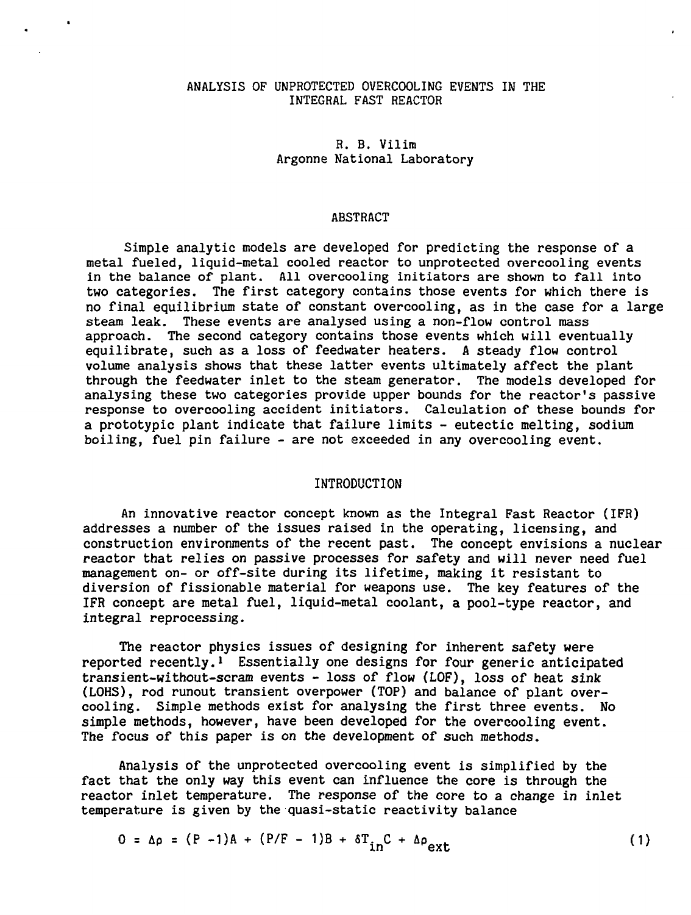#### ANALYSIS OF UNPROTECTED OVERCOOLING EVENTS IN THE INTEGRAL FAST REACTOR

R. B. Vilim Argonne National Laboratory

#### ABSTRACT

Simple analytic models are developed for predicting the response of a metal fueled, liquid-metal cooled reactor to unprotected overcooling events in the balance of plant. All overcooling initiators are shown to fall into two categories. The first category contains those events for which there is no final equilibrium state of constant overcooling, as in the case for a large steam leak. These events are analysed using a non-flow control mass approach. The second category contains those events which will eventually equilibrate, such as a loss of feedwater heaters. A steady flow control volume analysis shows that these latter events ultimately affect the plant through the feedwater inlet to the steam generator. The models developed for analysing these two categories provide upper bounds for the reactor's passive response to overcooling accident initiators. Calculation of these bounds for a prototypic plant indicate that failure limits - eutectic melting, sodium boiling, fuel pin failure - are not exceeded in any overcooling event.

### INTRODUCTION

An innovative reactor concept known as the Integral Fast Reactor (IFR) addresses a number of the issues raised in the operating, licensing, and construction environments of the recent past. The concept envisions a nuclear reactor that relies on passive processes for safety and will never need fuel management on- or off-site during its lifetime, making it resistant to diversion of fissionable material for weapons use. The key features of the IFR concept are metal fuel, liquid-metal coolant, a pool-type reactor, and integral reprocessing.

The reactor physics issues of designing for inherent safety were reported recently.<sup>1</sup> Essentially one designs for four generic anticipated transient-without-scram events - loss of flow (LOF), loss of heat sink (LOHS), rod runout transient overpower (TOP) and balance of plant overcooling. Simple methods exist for analysing the first three events. No simple methods, however, have been developed for the overcooling event. The focus of this paper is on the development of such methods.

Analysis of the unprotected overcooling event is simplified by the fact that the only way this event can influence the core is through the reactor inlet temperature. The response of the core to a change in inlet temperature is given by the quasi-static reactivity balance

$$
0 = \Delta \rho = (P - 1)A + (P/F - 1)B + \delta T_{in}C + \Delta \rho_{ext}
$$
 (1)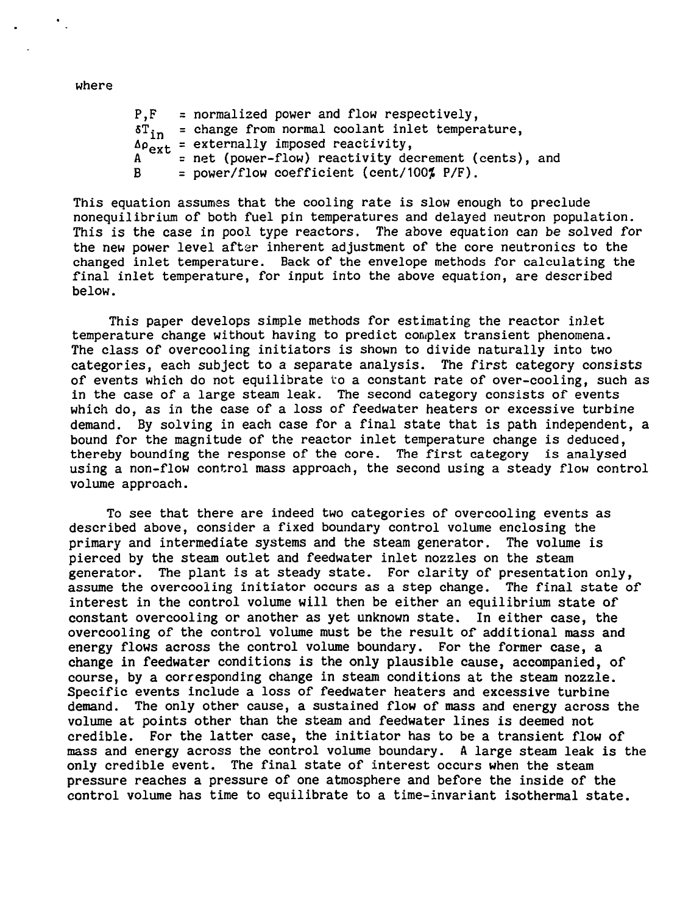where

 $P.F =$  = normalized power and flow respectively.  $\sigma_{\text{in}}$  = change from normal coolant inlet temperature.  $\Delta \rho_{ext}$  = externally imposed reactivity, A <sup>th</sup> = net (power-flow) reactivity decrement (cents), and  $B = power/flow coefficient (cent/100\% P/F).$ 

This equation assumes that the cooling rate is slow enough to preclude nonequilibrium of both fuel pin temperatures and delayed neutron population. This is the case in pool type reactors. The above equation can be solved for the new power level after inherent adjustment of the core neutronics to the changed inlet temperature. Back of the envelope methods for calculating the final inlet temperature, for input into the above equation, are described below.

This paper develops simple methods for estimating the reactor inlet temperature change without having to predict complex transient phenomena. The class of overcooling initiators is shown to divide naturally into two categories, each subject to a separate analysis. The first category consists of events which do not equilibrate to a constant rate of over-cooling, such as in the case of a large steam leak. The second category consists of events which do, as in the case of a loss of feedwater heaters or excessive turbine demand. By solving in each case for a final state that is path independent, a bound for the magnitude of the reactor inlet temperature change is deduced, thereby bounding the response of the core. The first category is analysed using a non-flow control mass approach, the second using a steady flow control volume approach.

To see that there are indeed two categories of overcooling events as described above, consider a fixed boundary control volume enclosing the primary and intermediate systems and the steam generator. The volume is pierced by the steam outlet and feedwater inlet nozzles on the steam generator. The plant is at steady state. For clarity of presentation only, assume the overcooling initiator occurs as a step change. The final state of interest in the control volume will then be either an equilibrium state of constant overcooling or another as yet unknown state. In either case, the overcooling of the control volume must be the result of additional mass and energy flows across the control volume boundary. For the former case, a change in feedwater conditions is the only plausible cause, accompanied, of course, by a corresponding change in steam conditions at the steam nozzle. Specific events include a loss of feedwater heaters and excessive turbine demand. The only other cause, a sustained flow of mass and energy across the volume at points other than the steam and feedwater lines is deemed not credible. For the latter case, the initiator has to be a transient flow of mass and energy across the control volume boundary. A large steam leak is the only credible event. The final state of interest occurs when the steam pressure reaches a pressure of one atmosphere and before the inside of the control volume has time to equilibrate to a time-invariant isothermal state.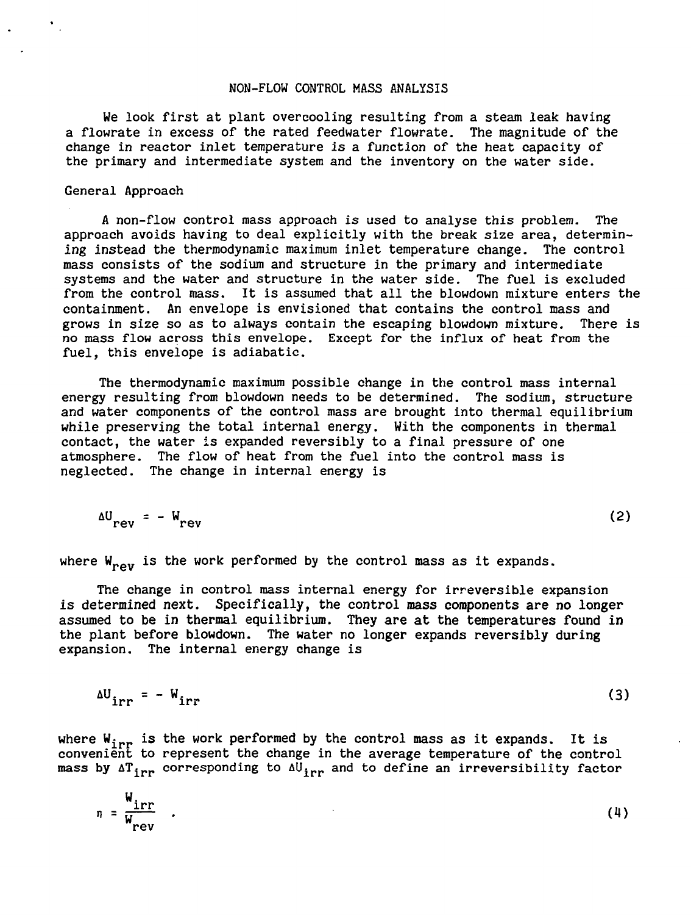#### NON-FLOW CONTROL MASS ANALYSIS

We look first at plant overcooling resulting from a steam leak having a flowrate in excess of the rated feedwater flowrate. The magnitude of the change in reactor inlet temperature is a function of the heat capacity of the primary and intermediate system and the inventory on the water side.

## General Approach

A non-flow control mass approach is used to analyse this problem. The approach avoids having to deal explicitly with the break size area, determining instead the thermodynamic maximum inlet temperature change. The control mass consists of the sodium and structure in the primary and intermediate systems and the water and structure in the water side. The fuel is excluded from the control mass. It is assumed that all the blowdown mixture enters the containment. An envelope is envisioned that contains the control mass and grows in size so as to always contain the escaping blowdown mixture. There is no mass flow across this envelope. Except for the influx of heat from the fuel, this envelope is adiabatic.

The thermodynamie maximum possible change in the control mass internal energy resulting from blowdown needs to be determined. The sodium, structure and water components of the control mass are brought into thermal equilibrium while preserving the total internal energy. With the components in thermal contact, the water is expanded reversibly to a final pressure of one atmosphere. The flow of heat from the fuel into the control mass is neglected. The change in internal energy is

$$
\Delta U_{rev} = - W_{rev} \tag{2}
$$

where  $W_{\text{row}}$  is the work performed by the control mass as it expands.

The change in control mass internal energy for irreversible expansion is determined next. Specifically, the control mass components are no longer assumed to be in thermal equilibrium. They are at the temperatures found in the plant before blowdown. The water no longer expands reversibly during expansion. The internal energy change is

$$
\Delta U_{irr} = -W_{irr} \tag{3}
$$

where  $W_{\rm irr}$  is the work performed by the control mass as it expands. It is convenient to represent the change in the average temperature of the control mass by  $\Delta T_{irr}$  corresponding to  $\Delta U_{irr}$  and to define an irreversibility factor

$$
\eta = \frac{W_{irr}}{W_{rev}} \qquad (4)
$$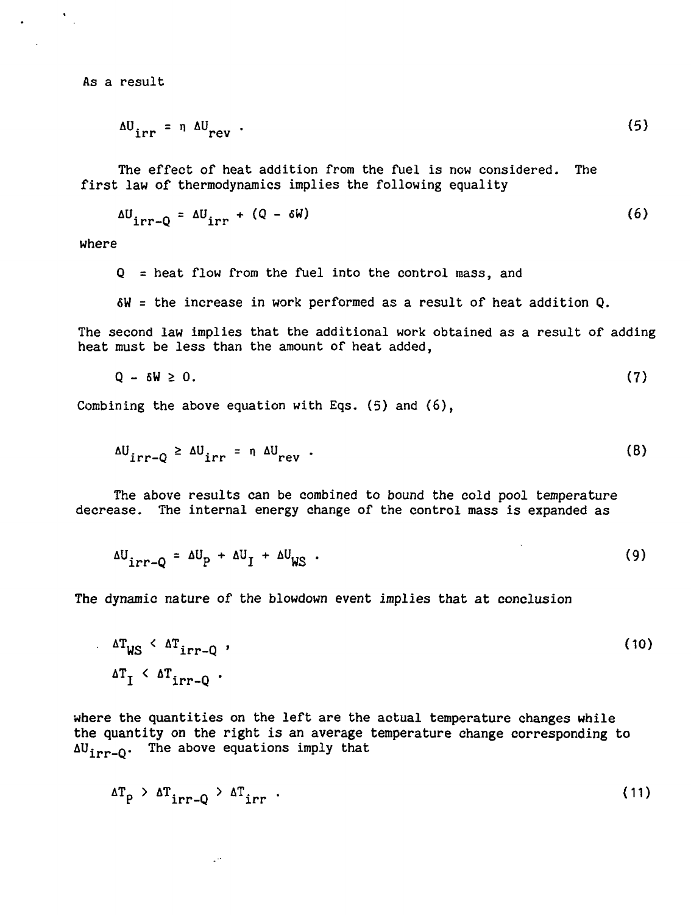As a result

 $\mathbf{A}^{\mathbf{r}}$ 

$$
\Delta U_{irr} = \eta \Delta U_{rev} \tag{5}
$$

The effect of heat addition from the fuel is now considered. The first law of thermodynamics implies the following equality

$$
\Delta U_{irr-Q} = \Delta U_{irr} + (Q - \delta W) \tag{6}
$$

where

 $Q =$  heat flow from the fuel into the control mass, and

6W = the increase in work performed as a result of heat addition Q.

The second law implies that the additional work obtained as a result of adding heat must be less than the amount of heat added,

$$
Q - \delta W \geq 0. \tag{7}
$$

Combining the above equation with Eqs. (5) and (6),

 $\downarrow$   $\mapsto$ 

$$
\Delta U_{irr-Q} \geq \Delta U_{irr} = \eta \Delta U_{rev} \tag{8}
$$

The above results can be combined to bound the cold pool temperature decrease. The internal energy change of the control mass is expanded as

$$
\Delta U_{irr-Q} = \Delta U_p + \Delta U_l + \Delta U_{WS} \tag{9}
$$

 $\Delta$ 

The dynamic nature of the blowdown event implies that at conclusion

$$
\Delta T_{WS} < \Delta T_{irr-Q} \tag{10}
$$
\n
$$
\Delta T_1 < \Delta T_{irr-Q} \tag{10}
$$

where the quantities on the left are the actual temperature changes while the quantity on the right is an average temperature change corresponding to  $\Delta U^{\text{irr}}$ <sub>1</sub>. The above equations imply that

$$
\Delta T_{p} > \Delta T_{irr-q} > \Delta T_{irr} \tag{11}
$$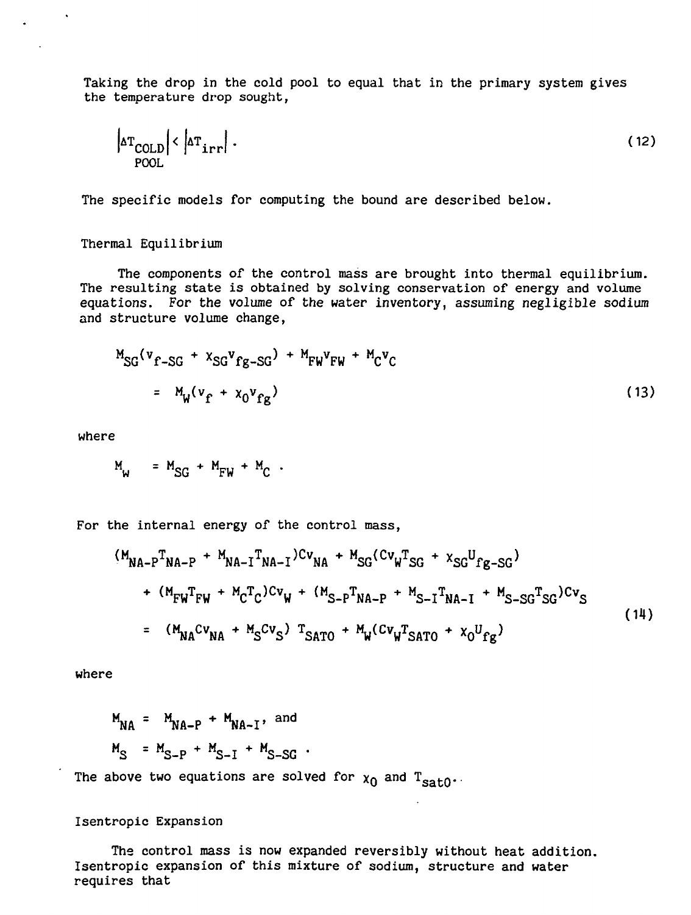Taking the drop in the cold pool to equal that in the primary system gives the temperature drop sought,

$$
\left|\Delta T_{\text{COLD}}\right| < \left|\Delta T_{\text{irr}}\right| \,. \tag{12}
$$

The specific models for computing the bound are described below.

Thermal Equilibrium

The components of the control mass are brought into thermal equilibrium. The resulting state is obtained by solving conservation of energy and volume equations. For the volume of the water inventory, assuming negligible sodium and structure volume change,

$$
M_{SG}(v_{f-SG} + x_{SG}v_{fg-SG}) + M_{FW}v_{FW} + M_{C}v_{C}
$$
  
=  $M_{W}(v_{f} + x_{0}v_{fg})$  (13)

where

 $M_{W}$  =  $M_{SG}$  +  $M_{FW}$  +  $M_{C}$  .

For the internal energy of the control mass,

$$
(M_{NA-P}T_{NA-P} + M_{NA-I}T_{NA-I})Cv_{NA} + M_{SG}(cv_{W}T_{SG} + x_{SG}U_{fg-SG})
$$
  
+ 
$$
(M_{FW}T_{FW} + M_{C}T_{C})cv_{W} + (M_{S-P}T_{NA-P} + M_{S-I}T_{NA-I} + M_{S-SG}T_{SG})cv_{S}
$$
  
= 
$$
(M_{NA}cv_{NA} + M_{S}cv_{S}) T_{SATO} + M_{W}(cv_{W}T_{SATO} + x_{O}U_{fg})
$$
 (14)

where

$$
M_{NA} = M_{NA-P} + M_{NA-I}
$$
, and  
\n $M_S = M_{S-P} + M_{S-I} + M_{S-SG}$ .

The above two equations are solved for  $\chi_0$  and  $T_{\text{sat0}}$ 

#### Isentropic Expansion

The control mass is now expanded reversibly without heat addition. Isentropic expansion of this mixture of sodium, structure and water requires that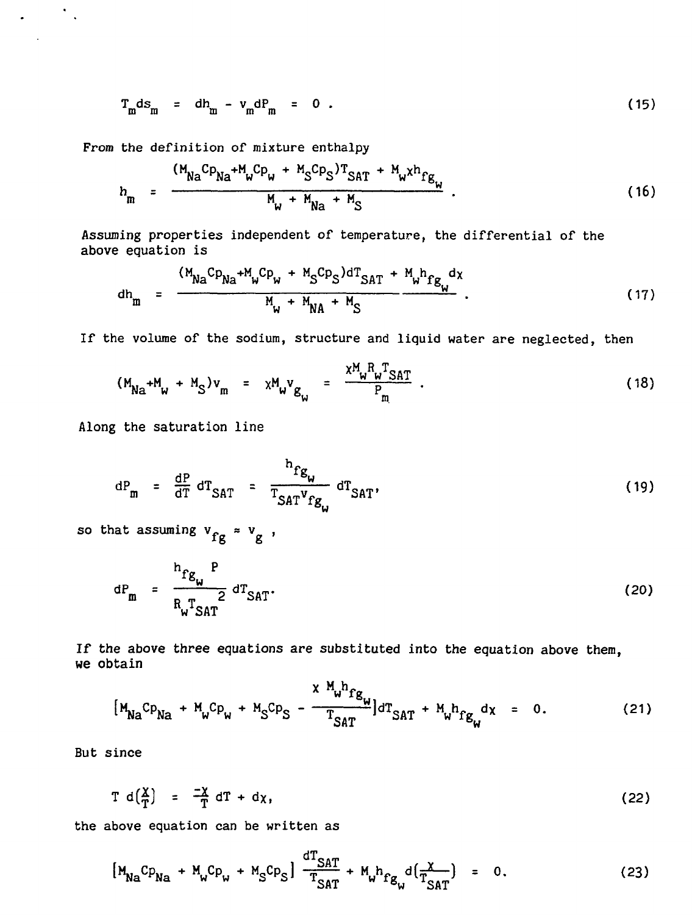$$
T_m ds_m = dh_m - v_m dP_m = 0.
$$
 (15)

From the definition of mixture enthalpy

$$
h_{\rm m} = \frac{(M_{\rm Na}Cp_{\rm Na} + M_{\rm w}Cp_{\rm w} + M_{\rm S}Cp_{\rm S})T_{\rm SAT} + M_{\rm w}xh_{\rm fg}}{M_{\rm w} + M_{\rm Na} + M_{\rm S}} \tag{16}
$$

Assuming properties independent of temperature, the differential of the above equation is

$$
dh_{m} = \frac{(M_{Na}Cp_{Na} + M_{w}Cp_{w} + M_{S}Cp_{S})dT_{SAT} + M_{w}h_{fg}dx}{M_{w} + M_{NA} + M_{S}}
$$
 (17)

If the volume of the sodium, structure and liquid water are neglected, then

$$
(M_{Na} + M_w + M_S)v_m = \chi M_w v_{g_w} = \frac{\chi_{w}^M w_{w}^T SAT}{P_m}.
$$
 (18)

Along the saturation line

 $\mathcal{L}^{\text{max}}$  ,  $\mathcal{L}^{\text{max}}$ 

$$
dP_m = \frac{dP}{dT} dT_{SAT} = \frac{h_{fg}}{T_{SAT}v_{fg}} dT_{SAT}
$$
 (19)

so that assuming  $v_{fg} \approx v_g$ ,

$$
dP_m = \frac{h_{fg_m} P}{R_w T_{SAT}} dT_{SAT}.
$$
 (20)

If the above three equations are substituted into the equation above them, we obtain

$$
[M_{Na}Cp_{Na} + M_{w}Cp_{w} + M_{S}Cp_{S} - \frac{x M_{w}h_{fg}}{T_{SAT}}]dT_{SAT} + M_{w}h_{fg}dx = 0.
$$
 (21)

But since

$$
T d\left(\frac{\chi}{T}\right) = \frac{-\chi}{T} dT + d\chi, \qquad (22)
$$

the above equation can be written as

$$
[M_{Na}Cp_{Na} + M_{w}Cp_{w} + M_{S}Cp_{S}] \frac{dT_{SAT}}{T_{SAT}} + M_{w}h_{fg_{w}}d(\frac{x}{T_{SAT}}) = 0.
$$
 (23)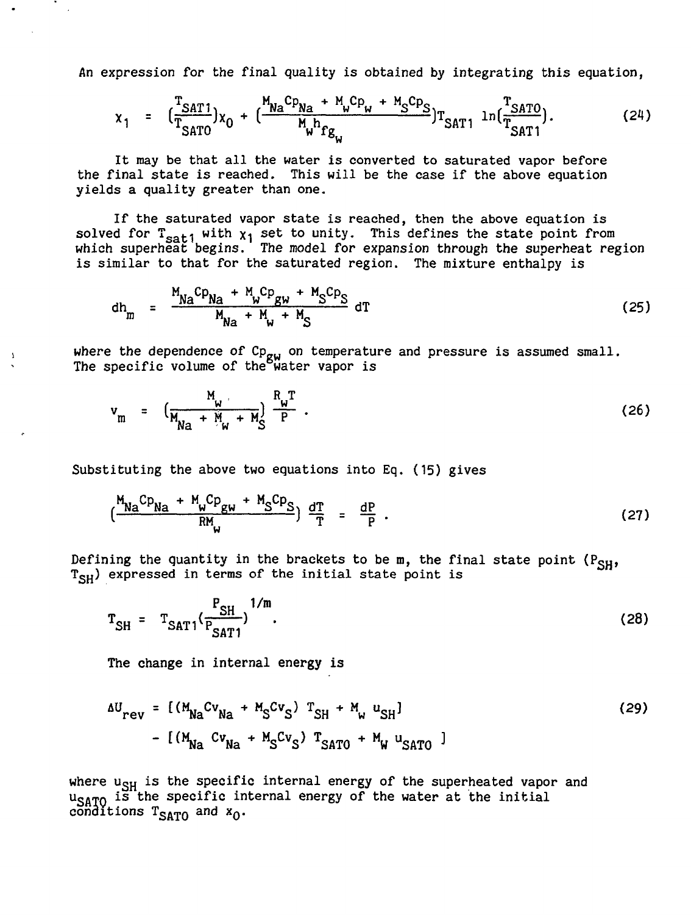An expression for the final quality is obtained by integrating this equation,

$$
x_{1} = \left(\frac{T_{SAT1}}{T_{SAT0}}\right)x_{0} + \left(\frac{M_{Na}C_{P_{Na}} + M_{w}C_{P_{w}} + M_{S}C_{P_{S}}}{M_{w}h_{fg_{w}}}\right)T_{SAT1} \ln\left(\frac{T_{SAT0}}{T_{SAT1}}\right). \tag{24}
$$

It may be that all the water is converted to saturated vapor before the final state is reached. This will be the case if the above equation yields a quality greater than one.

If the saturated vapor state is reached, then the above equation is solved for  $T_{\text{sat1}}$  with  $x_1$  set to unity. This defines the state point from which superheat begins. The model for expansion through the superheat region is similar to that for the saturated region. The mixture enthalpy is

$$
dh_{m} = \frac{M_{Na}cp_{Na} + M_{w}cp_{gw} + M_{S}cp_{S}}{M_{Na} + M_{w} + M_{S}} dT
$$
 (25)

where the dependence of  $\mathtt{Cp_{gw}}$  on temperature and pressure is assumed small. The specific volume of the water vapor is

$$
v_{m} = \left(\frac{M_{w}}{M_{Na} + M_{w} + M_{S}^{2}}\right)^{R_{w}T}.
$$
 (26)

Substituting the above two equations into Eq. (15) gives

$$
\left(\frac{M_{Na}Cp_{Na} + M_{w}Cp_{gw} + M_{S}Cp_{S}}{RM_{w}}\right) \frac{dT}{T} = \frac{dP}{P} \tag{27}
$$

Defining the quantity in the brackets to be m, the final state point  $(P_{SH}$ , T<sub>SH</sub>) expressed in terms of the initial state point is

$$
T_{SH} = T_{SAT1} (\frac{P_{SH}}{P_{SAT1}})^{1/m}.
$$
 (28)

The change in internal energy is

 $\pmb{\lambda}$ 

$$
\Delta U_{\text{rev}} = [ (M_{\text{Na}}^{\text{cv}} C_{\text{Na}} + M_{\text{S}}^{\text{cv}} C_{\text{S}} ) T_{\text{SH}} + M_{\text{w}}^{\text{u}} U_{\text{SH}} ]
$$
\n
$$
- [ (M_{\text{Na}}^{\text{cv}} C_{\text{Na}} + M_{\text{S}}^{\text{cv}} C_{\text{S}} ) T_{\text{SATO}} + M_{\text{w}}^{\text{u}} U_{\text{SATO}} ]
$$
\n(29)

where  $u_{SH}$  is the specific internal energy of the superheated vapor and  $u_{\text{CATO}}$  is the specific internal energy of the water at the initial conditions  $T_{SATO}$  and  $x_O$ .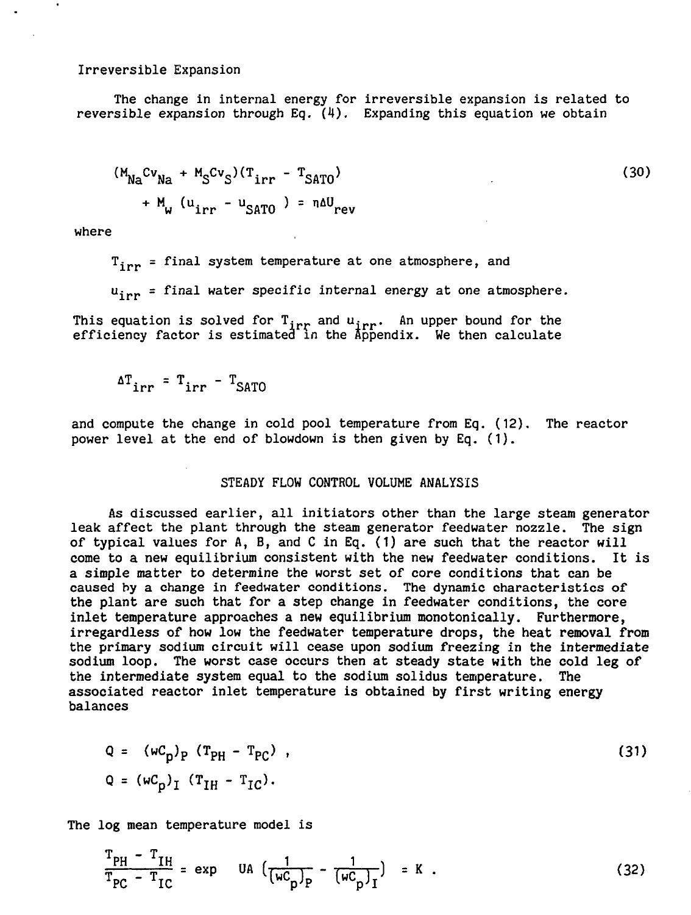Irreversible Expansion

The change in internal energy for irreversible expansion is related to reversible expansion through Eq.  $(4)$ . Expanding this equation we obtain

$$
(M_{Na}cv_{Na} + M_Scv_S)(T_{irr} - T_{SATO})
$$
  
+ M<sub>w</sub> (u<sub>irr</sub> - u<sub>SATO</sub>) = nΔU<sub>rev</sub> (30)

where

 $\bullet$ 

 $T_{inn}$  = final system temperature at one atmosphere, and

u<sub>irr</sub> = final water specific internal energy at one atmosphere.

This equation is solved for  $\texttt T_{\texttt{irr}}$  and  $\texttt u_{\texttt{irr}}$ . An upper bound for the efficiency factor is estimated in the Appendix. We then calculate

 $\frac{a_1}{b_1}$ irr  $\frac{a_1}{b_1}$   $\frac{b_2}{c_1}$ 

and compute the change in cold pool temperature from Eq. (12). The reactor power level at the end of blowdown is then given by Eq. (1).

# STEADY FLOW CONTROL VOLUME ANALYSIS

As discussed earlier, all initiators other than the large steam generator leak affect the plant through the steam generator feedwater nozzle. The sign of typical values for A, B, and C in Eq. (1) are such that the reactor will come to a new equilibrium consistent with the new feedwater conditions. It is a simple matter to determine the worst set of core conditions that can be caused by a change in feedwater conditions. The dynamic characteristics of the plant are such that for a step change in feedwater conditions, the core inlet temperature approaches a new equilibrium monotonically. Furthermore, irregardless of how low the feedwater temperature drops, the heat removal from the primary sodium circuit will cease upon sodium freezing in the intermediate sodium loop. The worst case occurs then at steady state with the cold leg of the intermediate system equal to the sodium solidus temperature. The associated reactor inlet temperature is obtained by first writing energy balances

$$
Q = (wC_p)_P (T_{PH} - T_{PC}) ,
$$
  
Q = 
$$
(wC_p)_I (T_{IH} - T_{IC}).
$$
 (31)

The log mean temperature model is

$$
\frac{T_{PH} - T_{IH}}{T_{PC} - T_{IC}} = \exp \quad \text{UA} \left( \frac{1}{(w_{p}^{C})_{P}} - \frac{1}{(w_{p}^{C})_{I}} \right) = K \quad . \tag{32}
$$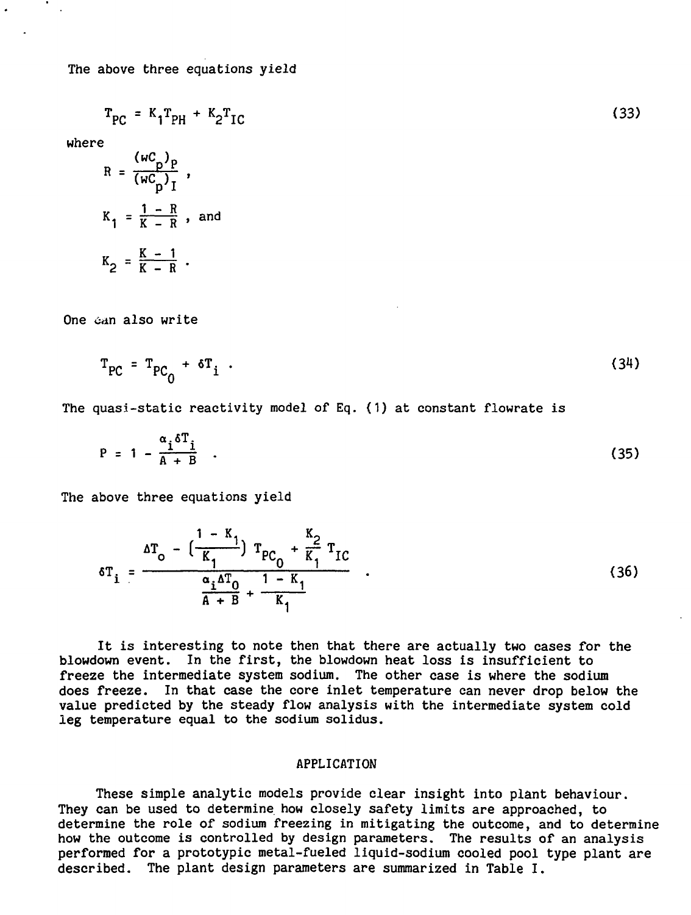$$
T_{PC} = K_1 T_{PH} + K_2 T_{IC}
$$
 (33)

where

$$
R = \frac{(\omega C_p)^p}{(\omega C_p)^r},
$$
  

$$
K_1 = \frac{1 - R}{K - R}, \text{ and}
$$
  

$$
K_2 = \frac{K - 1}{K - R}.
$$

One can also write

$$
T_{PC} = T_{PC_0} + \delta T_i \tag{34}
$$

The quasi-static reactivity model of Eq. (1) at constant flowrate is

$$
P = 1 - \frac{\alpha_i \delta T_i}{A + B} \quad . \tag{35}
$$

The above three equations yield

$$
\delta T_{i} = \frac{\Delta T_{o} - \left(\frac{1 - K_{1}}{K_{1}}\right) T_{PC_{0}} + \frac{K_{2}}{K_{1}} T_{IC}}{\frac{\alpha_{i} \Delta T_{0}}{A + B} + \frac{1 - K_{1}}{K_{1}}}
$$
(36)

It is interesting to note then that there are actually two cases for the blowdown event. In the first, the blowdown heat loss is insufficient to freeze the intermediate system sodium. The other case is where the sodium does freeze. In that case the core inlet temperature can never drop below the value predicted by the steady flow analysis with the intermediate system cold leg temperature equal to the sodium solidus.

#### APPLICATION

These simple analytic models provide clear insight into plant behaviour. They can be used to determine how closely safety limits are approached, to determine the role of sodium freezing in mitigating the outcome, and to determine how the outcome is controlled by design parameters. The results of an analysis performed for a prototypic metal-fueled liquid-sodium cooled pool type plant are described. The plant design parameters are summarized in Table I.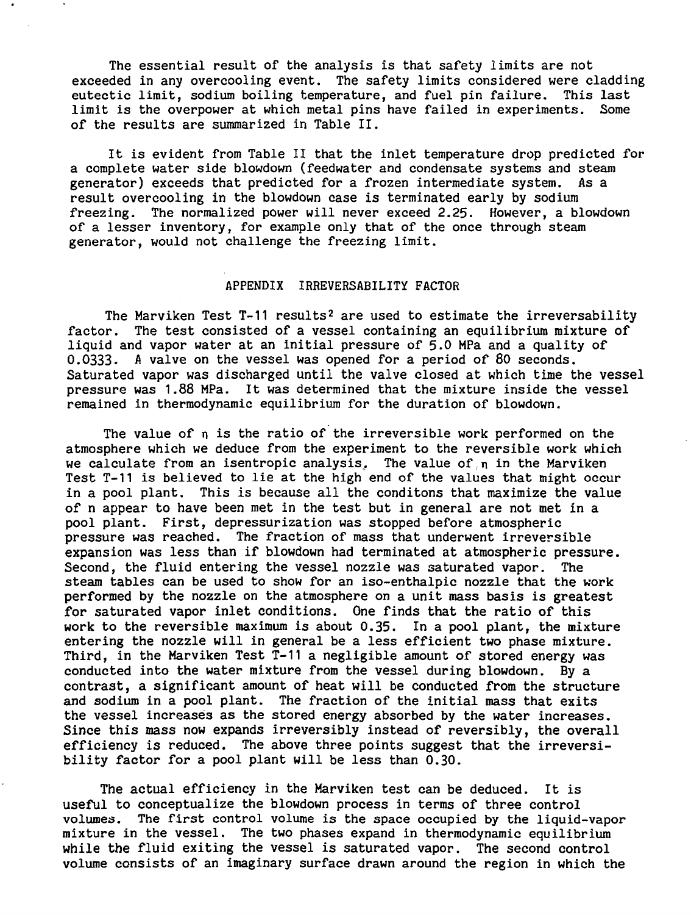The essential result of the analysis is that safety limits are not exceeded in any overcooling event. The safety limits considered were cladding eutectic limit, sodium boiling temperature, and fuel pin failure. This last limit is the overpower at which metal pins have failed in experiments. Some of the results are summarized in Table II.

It is evident from Table II that the inlet temperature drop predicted for a complete water side blowdown (feedwater and condensate systems and steam generator) exceeds that predicted for a frozen intermediate system. As a result overcooling in the blowdown case is terminated early by sodium freezing. The normalized power will never exceed 2.25. However, a blowdown of a lesser inventory, for example only that of the once through steam generator, would not challenge the freezing limit.

# APPENDIX IRREVERSABILITY FACTOR

The Marviken Test  $T-11$  results<sup>2</sup> are used to estimate the irreversability factor. The test consisted of a vessel containing an equilibrium mixture of liquid and vapor water at an initial pressure of 5.0 MPa and a quality of 0.0333. A valve on the vessel was opened for a period of 80 seconds. Saturated vapor was discharged until the valve closed at which time the vessel pressure was 1.88 MPa. It was determined that the mixture inside the vessel remained in thermodynamic equilibrium for the duration of blowdown.

The value of n is the ratio of the irreversible work performed on the atmosphere which we deduce from the experiment to the reversible work which we calculate from an isentropic analysis. The value of n in the Marviken Test T-11 is believed to lie at the high end of the values that might occur in a pool plant. This is because all the conditons that maximize the value of n appear to have been met in the test but in general are not met in a pool plant. First, depressurization was stopped before atmospheric pressure was reached. The fraction of mass that underwent irreversible expansion was less than if blowdown had terminated at atmospheric pressure. Second, the fluid entering the vessel nozzle was saturated vapor. The steam tables can be used to show for an iso-enthalpic nozzle that the work performed by the nozzle on the atmosphere on a unit mass basis is greatest for saturated vapor inlet conditions. One finds that the ratio of this work to the reversible maximum is about 0.35. In a pool plant, the mixture entering the nozzle will in general be a less efficient two phase mixture. Third, in the Marviken Test T-11 a negligible amount of stored energy was conducted into the water mixture from the vessel during blowdown. By a contrast, a significant amount of heat will be conducted from the structure and sodium in a pool plant. The fraction of the initial mass that exits the vessel increases as the stored energy absorbed by the water increases. Since this mass now expands irreversibly instead of reversibly, the overall efficiency is reduced. The above three points suggest that the irreversibility factor for a pool plant will be less than 0.30.

The actual efficiency in the Marviken test can be deduced. It is useful to conceptualize the blowdown process in terms of three control volumes. The first control volume is the space occupied by the liquid-vapor mixture in the vessel. The two phases expand in thermodynamic equilibrium while the fluid exiting the vessel is saturated vapor. The second control volume consists of an imaginary surface drawn around the region in which the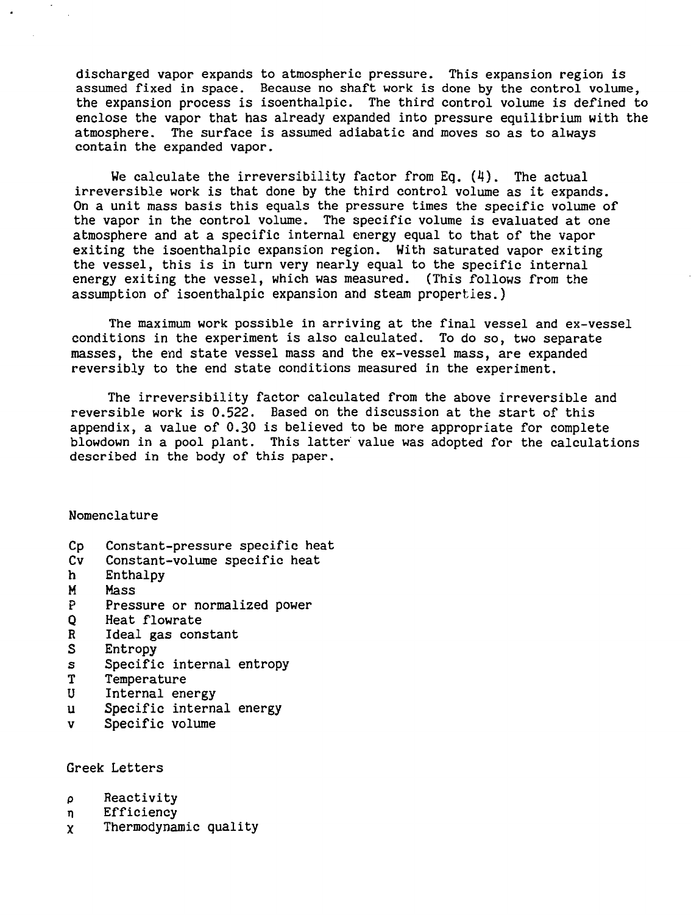discharged vapor expands to atmospheric pressure. This expansion region is assumed fixed in space. Because no shaft work is done by the control volume, the expansion process is isoenthalpic. The third control volume is defined to enclose the vapor that has already expanded into pressure equilibrium with the atmosphere. The surface is assumed adiabatic and moves so as to always contain the expanded vapor.

We calculate the irreversibility factor from Eq. (4). The actual irreversible work is that done by the third control volume as it expands. On a unit mass basis this equals the pressure times the specific volume of the vapor in the control volume. The specific volume is evaluated at one atmosphere and at a specific internal energy equal to that of the vapor exiting the isoenthalpic expansion region. With saturated vapor exiting the vessel, this is in turn very nearly equal to the specific internal energy exiting the vessel, which was measured. (This follows from the assumption of isoenthalpic expansion and steam properties.)

The maximum work possible in arriving at the final vessel and ex-vessel conditions in the experiment is also calculated. To do so, two separate masses, the end state vessel mass and the ex-vessel mass, are expanded reversibly to the end state conditions measured in the experiment.

The irreversibility factor calculated from the above irreversible and reversible work is 0.522. Based on the discussion at the start of this appendix, a value of 0.30 is believed to be more appropriate for complete blowdown in a pool plant. This latter value was adopted for the calculations described in the body of this paper.

Nomenclature

- Cp Constant-pressure specific heat<br>Cv Constant-volume specific heat
- Constant-volume specific heat
- h Enthalpy
- M Mass
- P Pressure or normalized power<br>O Heat flowrate
- Q Heat flowrate<br>R Ideal gas cons
- R Ideal gas constant<br>S Entropy
- Entropy
- s Specific internal entropy<br>T Temperature
- T Temperature<br>U Internal ene
- Internal energy
- u Specific internal energy
- v Specific volume

Greek Letters

- p Reactivity
- n Efficiency
- X Thermodynamic quality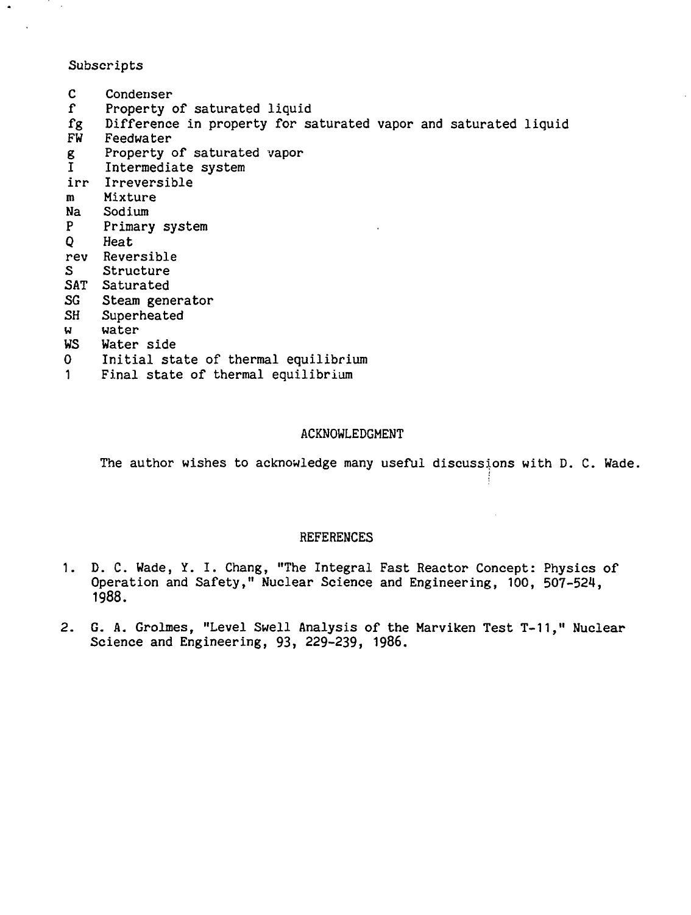# Subscripts

 $\ddot{\phantom{1}}$ 

C Condenser<br>f Property f Property of saturated liquid<br>fg Difference in property for sa fg Difference in property for saturated vapor and saturated liquid Feedwater g Property of saturated vapor<br>I Intermediate system Intermediate system irr Irreversible m Mixture Na Sodium<br>P Primary Primary system Q Heat rev Reversible<br>S Structure **Structure** SAT Saturated SG Steam generator SH Superheated w water<br>WS Water Water side 0 Initial state of thermal equilibrium 1 Final state of thermal equilibrium

## ACKNOWLEDGMENT

The author wishes to acknowledge many useful discussions with D. C. Wade.

## **REFERENCES**

- 1. D. C. Wade, Y. I. Chang, "The Integral Fast Reactor Concept: Physics of Operation and Safety," Nuclear Science and Engineering, 100, 507-524, 1988.
- 2. G. A. Grolmes, "Level Swell Analysis of the Marviken Test T-11," Nuclear Science and Engineering, 93, 229-239, 1986.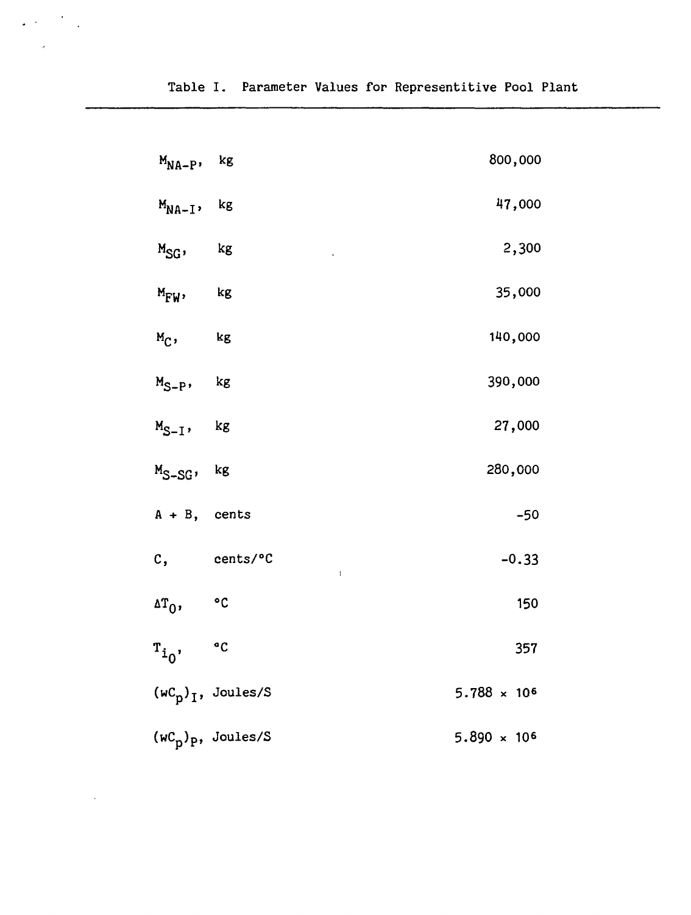| $M_{NA-P}$          | kg            | 800,000                   |
|---------------------|---------------|---------------------------|
| $M_{NA-I}$          | kg            | 47,000                    |
| $M_{SG}$            | kg            | 2,300                     |
| $M_{\mathrm{FW}}$ , | kg            | 35,000                    |
| $M_C$ ,             | $\mathbf{kg}$ | 140,000                   |
| $M_{S-P}$           | kg            | 390,000                   |
| $M_{S-I}$           | $\mathbf{kg}$ | 27,000                    |
| $M_{S-SG}$          | kg            | 280,000                   |
| $A + B$ , cents     |               | $-50$                     |
| c,                  | cents/°C      | $-0.33$<br>$\mathfrak{t}$ |
| $\mathbf{r}_0$      | $^{\circ}$ C  | 150                       |
| $r_{i_0}$           | $\mathbf{C}$  | 357                       |

5.788  $\times$  10<sup>6</sup> (wC<sub>n</sub>)<sub>I</sub>, Joules/S

 $5.890 \times 10^{6}$ (wC<sub>n</sub>)<sub>p</sub>, Joules/S

 $\Delta \propto 10^{-10}$  km  $^{-2}$ 

 $\ddot{\phantom{a}}$ 

 $\sim$   $\lambda$